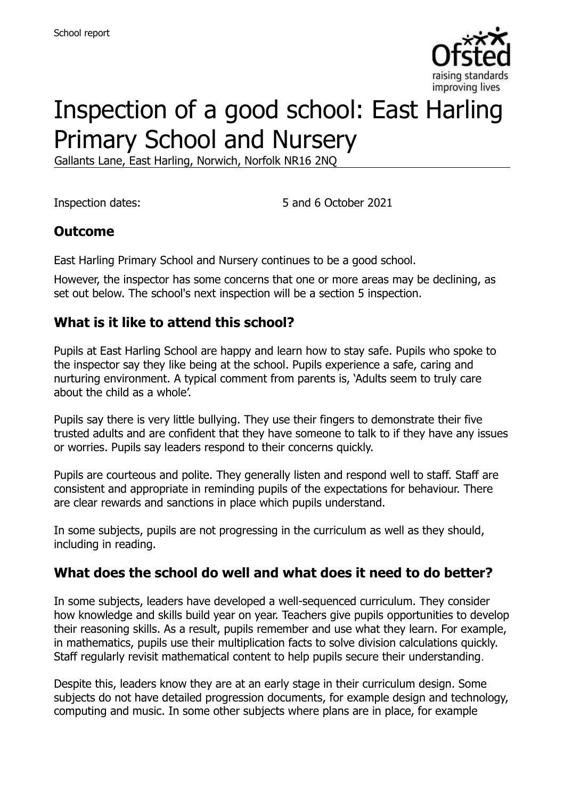

# Inspection of a good school: East Harling Primary School and Nursery

Gallants Lane, East Harling, Norwich, Norfolk NR16 2NQ

Inspection dates: 5 and 6 October 2021

#### **Outcome**

East Harling Primary School and Nursery continues to be a good school.

However, the inspector has some concerns that one or more areas may be declining, as set out below. The school's next inspection will be a section 5 inspection.

#### **What is it like to attend this school?**

Pupils at East Harling School are happy and learn how to stay safe. Pupils who spoke to the inspector say they like being at the school. Pupils experience a safe, caring and nurturing environment. A typical comment from parents is, 'Adults seem to truly care about the child as a whole'.

Pupils say there is very little bullying. They use their fingers to demonstrate their five trusted adults and are confident that they have someone to talk to if they have any issues or worries. Pupils say leaders respond to their concerns quickly.

Pupils are courteous and polite. They generally listen and respond well to staff. Staff are consistent and appropriate in reminding pupils of the expectations for behaviour. There are clear rewards and sanctions in place which pupils understand.

In some subjects, pupils are not progressing in the curriculum as well as they should, including in reading.

#### **What does the school do well and what does it need to do better?**

In some subjects, leaders have developed a well-sequenced curriculum. They consider how knowledge and skills build year on year. Teachers give pupils opportunities to develop their reasoning skills. As a result, pupils remember and use what they learn. For example, in mathematics, pupils use their multiplication facts to solve division calculations quickly. Staff regularly revisit mathematical content to help pupils secure their understanding.

Despite this, leaders know they are at an early stage in their curriculum design. Some subjects do not have detailed progression documents, for example design and technology, computing and music. In some other subjects where plans are in place, for example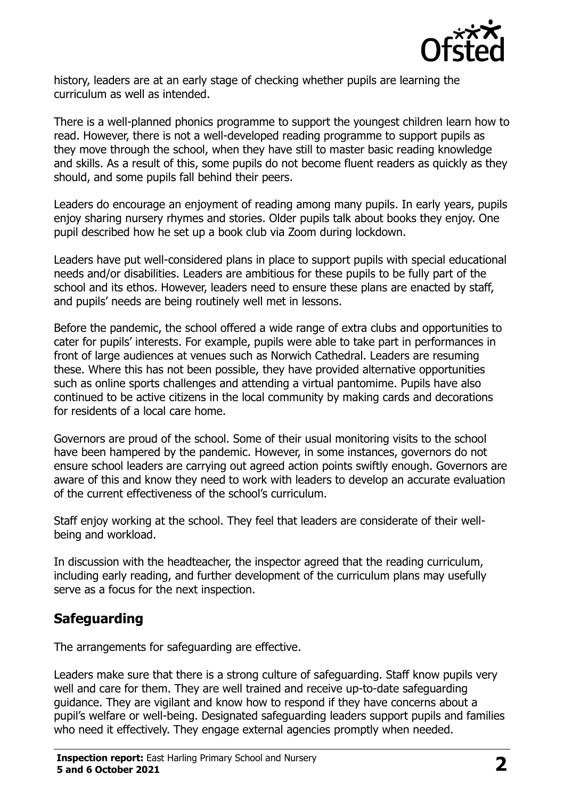

history, leaders are at an early stage of checking whether pupils are learning the curriculum as well as intended.

There is a well-planned phonics programme to support the youngest children learn how to read. However, there is not a well-developed reading programme to support pupils as they move through the school, when they have still to master basic reading knowledge and skills. As a result of this, some pupils do not become fluent readers as quickly as they should, and some pupils fall behind their peers.

Leaders do encourage an enjoyment of reading among many pupils. In early years, pupils enjoy sharing nursery rhymes and stories. Older pupils talk about books they enjoy. One pupil described how he set up a book club via Zoom during lockdown.

Leaders have put well-considered plans in place to support pupils with special educational needs and/or disabilities. Leaders are ambitious for these pupils to be fully part of the school and its ethos. However, leaders need to ensure these plans are enacted by staff, and pupils' needs are being routinely well met in lessons.

Before the pandemic, the school offered a wide range of extra clubs and opportunities to cater for pupils' interests. For example, pupils were able to take part in performances in front of large audiences at venues such as Norwich Cathedral. Leaders are resuming these. Where this has not been possible, they have provided alternative opportunities such as online sports challenges and attending a virtual pantomime. Pupils have also continued to be active citizens in the local community by making cards and decorations for residents of a local care home.

Governors are proud of the school. Some of their usual monitoring visits to the school have been hampered by the pandemic. However, in some instances, governors do not ensure school leaders are carrying out agreed action points swiftly enough. Governors are aware of this and know they need to work with leaders to develop an accurate evaluation of the current effectiveness of the school's curriculum.

Staff enjoy working at the school. They feel that leaders are considerate of their wellbeing and workload.

In discussion with the headteacher, the inspector agreed that the reading curriculum, including early reading, and further development of the curriculum plans may usefully serve as a focus for the next inspection.

# **Safeguarding**

The arrangements for safeguarding are effective.

Leaders make sure that there is a strong culture of safeguarding. Staff know pupils very well and care for them. They are well trained and receive up-to-date safeguarding guidance. They are vigilant and know how to respond if they have concerns about a pupil's welfare or well-being. Designated safeguarding leaders support pupils and families who need it effectively. They engage external agencies promptly when needed.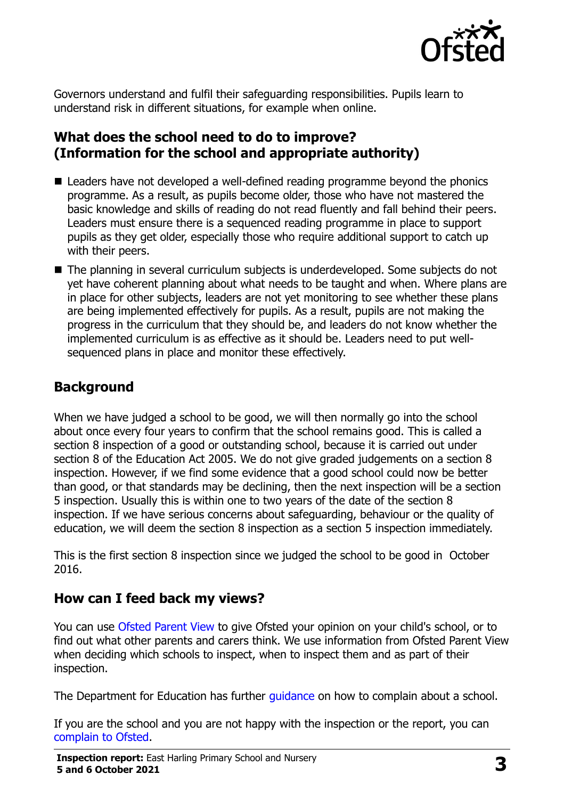

Governors understand and fulfil their safeguarding responsibilities. Pupils learn to understand risk in different situations, for example when online.

#### **What does the school need to do to improve? (Information for the school and appropriate authority)**

- Leaders have not developed a well-defined reading programme beyond the phonics programme. As a result, as pupils become older, those who have not mastered the basic knowledge and skills of reading do not read fluently and fall behind their peers. Leaders must ensure there is a sequenced reading programme in place to support pupils as they get older, especially those who require additional support to catch up with their peers.
- The planning in several curriculum subjects is underdeveloped. Some subjects do not yet have coherent planning about what needs to be taught and when. Where plans are in place for other subjects, leaders are not yet monitoring to see whether these plans are being implemented effectively for pupils. As a result, pupils are not making the progress in the curriculum that they should be, and leaders do not know whether the implemented curriculum is as effective as it should be. Leaders need to put wellsequenced plans in place and monitor these effectively.

# **Background**

When we have judged a school to be good, we will then normally go into the school about once every four years to confirm that the school remains good. This is called a section 8 inspection of a good or outstanding school, because it is carried out under section 8 of the Education Act 2005. We do not give graded judgements on a section 8 inspection. However, if we find some evidence that a good school could now be better than good, or that standards may be declining, then the next inspection will be a section 5 inspection. Usually this is within one to two years of the date of the section 8 inspection. If we have serious concerns about safeguarding, behaviour or the quality of education, we will deem the section 8 inspection as a section 5 inspection immediately.

This is the first section 8 inspection since we judged the school to be good in October 2016.

# **How can I feed back my views?**

You can use [Ofsted Parent View](https://parentview.ofsted.gov.uk/) to give Ofsted your opinion on your child's school, or to find out what other parents and carers think. We use information from Ofsted Parent View when deciding which schools to inspect, when to inspect them and as part of their inspection.

The Department for Education has further quidance on how to complain about a school.

If you are the school and you are not happy with the inspection or the report, you can [complain to Ofsted.](https://www.gov.uk/complain-ofsted-report)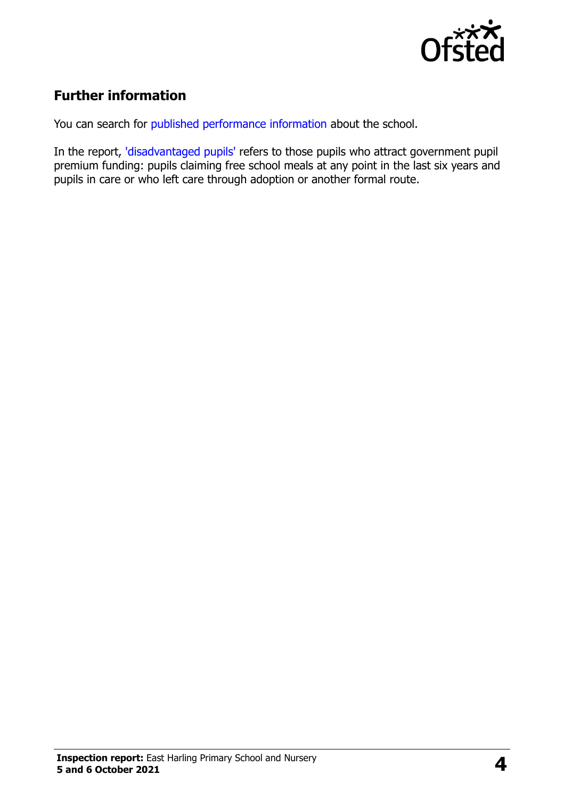

# **Further information**

You can search for [published performance information](http://www.compare-school-performance.service.gov.uk/) about the school.

In the report, ['disadvantaged pupils'](http://www.gov.uk/guidance/pupil-premium-information-for-schools-and-alternative-provision-settings) refers to those pupils who attract government pupil premium funding: pupils claiming free school meals at any point in the last six years and pupils in care or who left care through adoption or another formal route.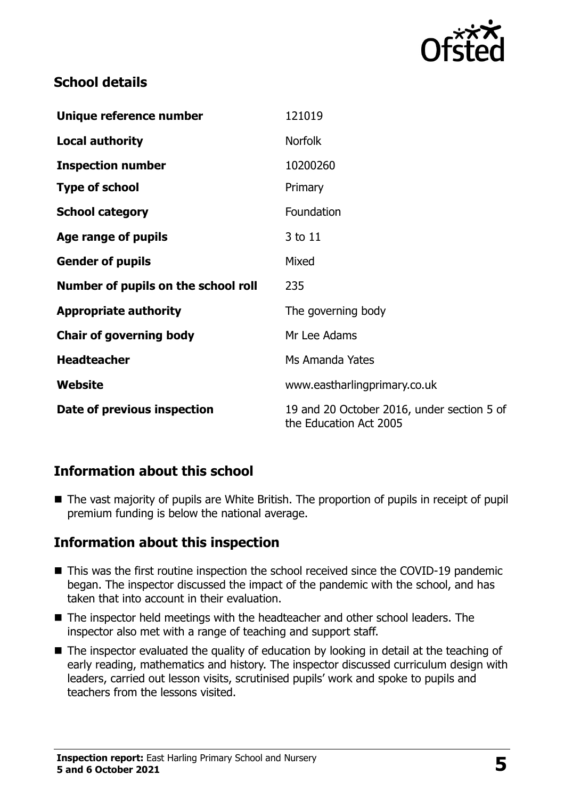

#### **School details**

| Unique reference number             | 121019                                                               |
|-------------------------------------|----------------------------------------------------------------------|
| <b>Local authority</b>              | <b>Norfolk</b>                                                       |
| <b>Inspection number</b>            | 10200260                                                             |
| <b>Type of school</b>               | Primary                                                              |
| <b>School category</b>              | Foundation                                                           |
| Age range of pupils                 | 3 to 11                                                              |
| <b>Gender of pupils</b>             | Mixed                                                                |
| Number of pupils on the school roll | 235                                                                  |
| <b>Appropriate authority</b>        | The governing body                                                   |
| <b>Chair of governing body</b>      | Mr Lee Adams                                                         |
| <b>Headteacher</b>                  | Ms Amanda Yates                                                      |
| Website                             | www.eastharlingprimary.co.uk                                         |
| Date of previous inspection         | 19 and 20 October 2016, under section 5 of<br>the Education Act 2005 |

# **Information about this school**

■ The vast majority of pupils are White British. The proportion of pupils in receipt of pupil premium funding is below the national average.

# **Information about this inspection**

- This was the first routine inspection the school received since the COVID-19 pandemic began. The inspector discussed the impact of the pandemic with the school, and has taken that into account in their evaluation.
- The inspector held meetings with the headteacher and other school leaders. The inspector also met with a range of teaching and support staff.
- The inspector evaluated the quality of education by looking in detail at the teaching of early reading, mathematics and history. The inspector discussed curriculum design with leaders, carried out lesson visits, scrutinised pupils' work and spoke to pupils and teachers from the lessons visited.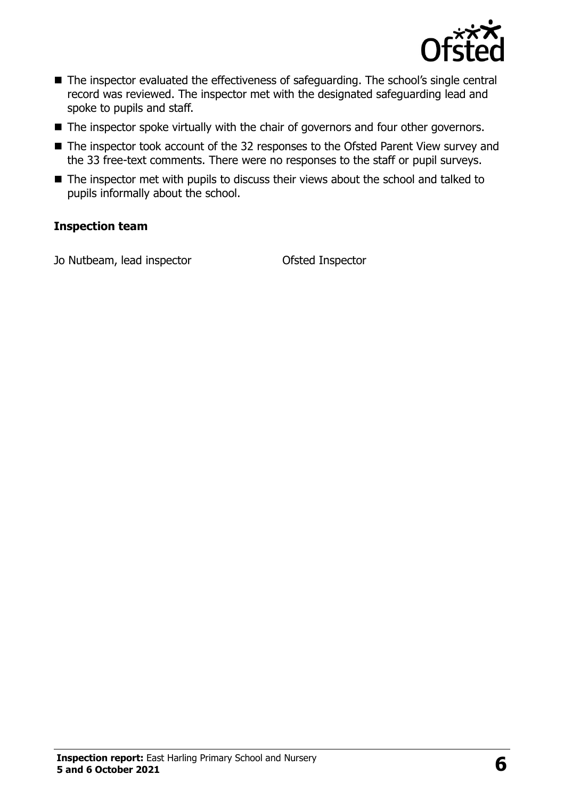

- The inspector evaluated the effectiveness of safeguarding. The school's single central record was reviewed. The inspector met with the designated safeguarding lead and spoke to pupils and staff.
- The inspector spoke virtually with the chair of governors and four other governors.
- The inspector took account of the 32 responses to the Ofsted Parent View survey and the 33 free-text comments. There were no responses to the staff or pupil surveys.
- The inspector met with pupils to discuss their views about the school and talked to pupils informally about the school.

#### **Inspection team**

Jo Nutbeam, lead inspector Ofsted Inspector